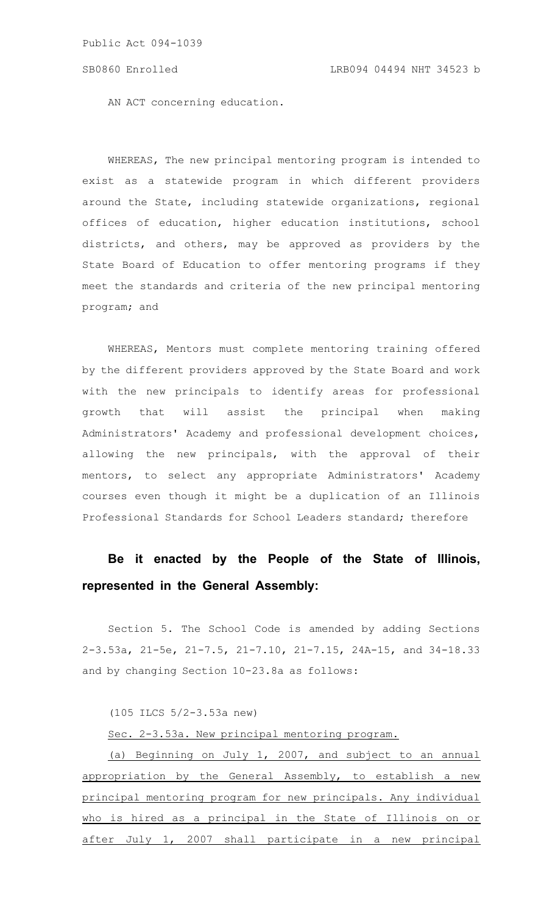AN ACT concerning education.

WHEREAS, The new principal mentoring program is intended to exist as a statewide program in which different providers around the State, including statewide organizations, regional offices of education, higher education institutions, school districts, and others, may be approved as providers by the State Board of Education to offer mentoring programs if they meet the standards and criteria of the new principal mentoring program; and

WHEREAS, Mentors must complete mentoring training offered by the different providers approved by the State Board and work with the new principals to identify areas for professional growth that will assist the principal when making Administrators' Academy and professional development choices, allowing the new principals, with the approval of their mentors, to select any appropriate Administrators' Academy courses even though it might be a duplication of an Illinois Professional Standards for School Leaders standard; therefore

## **Be it enacted by the People of the State of Illinois, represented in the General Assembly:**

Section 5. The School Code is amended by adding Sections 2-3.53a, 21-5e, 21-7.5, 21-7.10, 21-7.15, 24A-15, and 34-18.33 and by changing Section 10-23.8a as follows:

(105 ILCS 5/2-3.53a new)

Sec. 2-3.53a. New principal mentoring program.

(a) Beginning on July 1, 2007, and subject to an annual appropriation by the General Assembly, to establish a new principal mentoring program for new principals. Any individual who is hired as a principal in the State of Illinois on or after July 1, 2007 shall participate in a new principal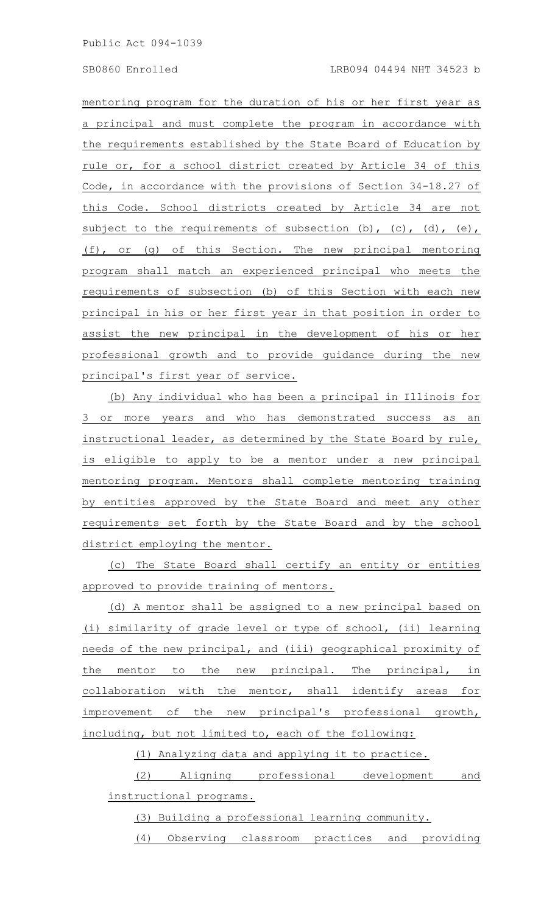mentoring program for the duration of his or her first year as a principal and must complete the program in accordance with the requirements established by the State Board of Education by rule or, for a school district created by Article 34 of this Code, in accordance with the provisions of Section 34-18.27 of this Code. School districts created by Article 34 are not subject to the requirements of subsection  $(b)$ ,  $(c)$ ,  $(d)$ ,  $(e)$ , (f), or (g) of this Section. The new principal mentoring program shall match an experienced principal who meets the requirements of subsection (b) of this Section with each new principal in his or her first year in that position in order to assist the new principal in the development of his or her professional growth and to provide guidance during the new principal's first year of service.

(b) Any individual who has been a principal in Illinois for 3 or more years and who has demonstrated success as an instructional leader, as determined by the State Board by rule, is eligible to apply to be a mentor under a new principal mentoring program. Mentors shall complete mentoring training by entities approved by the State Board and meet any other requirements set forth by the State Board and by the school district employing the mentor.

(c) The State Board shall certify an entity or entities approved to provide training of mentors.

(d) A mentor shall be assigned to a new principal based on (i) similarity of grade level or type of school, (ii) learning needs of the new principal, and (iii) geographical proximity of the mentor to the new principal. The principal, in collaboration with the mentor, shall identify areas for improvement of the new principal's professional growth, including, but not limited to, each of the following:

(1) Analyzing data and applying it to practice.

(2) Aligning professional development and instructional programs.

(3) Building a professional learning community.

(4) Observing classroom practices and providing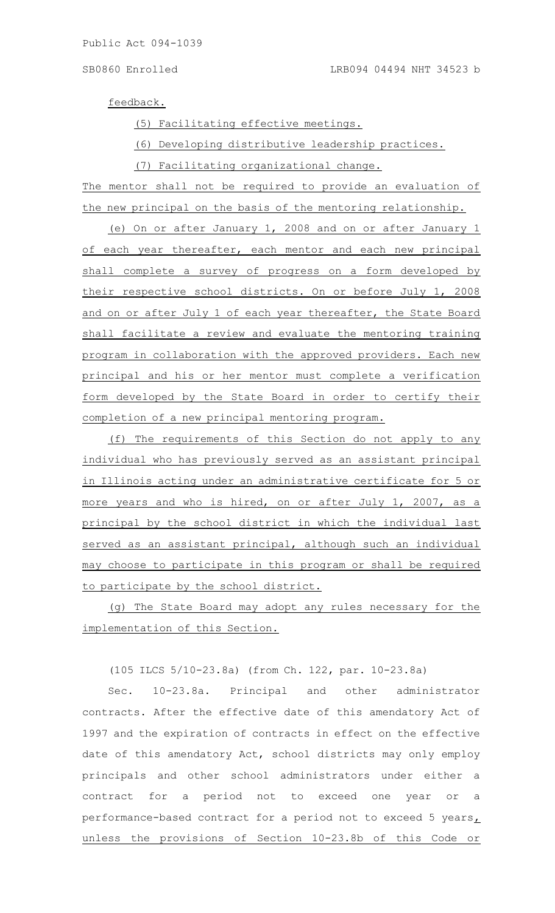feedback.

(5) Facilitating effective meetings.

(6) Developing distributive leadership practices.

(7) Facilitating organizational change.

The mentor shall not be required to provide an evaluation of the new principal on the basis of the mentoring relationship.

(e) On or after January 1, 2008 and on or after January 1 of each year thereafter, each mentor and each new principal shall complete a survey of progress on a form developed by their respective school districts. On or before July 1, 2008 and on or after July 1 of each year thereafter, the State Board shall facilitate a review and evaluate the mentoring training program in collaboration with the approved providers. Each new principal and his or her mentor must complete a verification form developed by the State Board in order to certify their completion of a new principal mentoring program.

(f) The requirements of this Section do not apply to any individual who has previously served as an assistant principal in Illinois acting under an administrative certificate for 5 or more years and who is hired, on or after July 1, 2007, as a principal by the school district in which the individual last served as an assistant principal, although such an individual may choose to participate in this program or shall be required to participate by the school district.

(g) The State Board may adopt any rules necessary for the implementation of this Section.

(105 ILCS 5/10-23.8a) (from Ch. 122, par. 10-23.8a)

Sec. 10-23.8a. Principal and other administrator contracts. After the effective date of this amendatory Act of 1997 and the expiration of contracts in effect on the effective date of this amendatory Act, school districts may only employ principals and other school administrators under either a contract for a period not to exceed one year or a performance-based contract for a period not to exceed 5 years $<sub>L</sub>$ </sub> unless the provisions of Section 10-23.8b of this Code or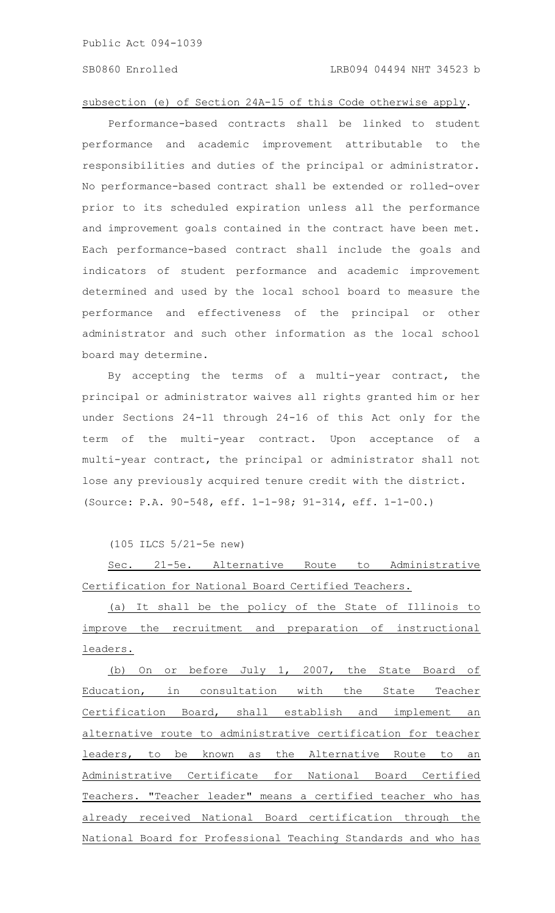## subsection (e) of Section 24A-15 of this Code otherwise apply.

Performance-based contracts shall be linked to student performance and academic improvement attributable to the responsibilities and duties of the principal or administrator. No performance-based contract shall be extended or rolled-over prior to its scheduled expiration unless all the performance and improvement goals contained in the contract have been met. Each performance-based contract shall include the goals and indicators of student performance and academic improvement determined and used by the local school board to measure the performance and effectiveness of the principal or other administrator and such other information as the local school board may determine.

By accepting the terms of a multi-year contract, the principal or administrator waives all rights granted him or her under Sections 24-11 through 24-16 of this Act only for the term of the multi-year contract. Upon acceptance of a multi-year contract, the principal or administrator shall not lose any previously acquired tenure credit with the district. (Source: P.A. 90-548, eff. 1-1-98; 91-314, eff. 1-1-00.)

(105 ILCS 5/21-5e new)

Sec. 21-5e. Alternative Route to Administrative Certification for National Board Certified Teachers.

(a) It shall be the policy of the State of Illinois to improve the recruitment and preparation of instructional leaders.

(b) On or before July 1, 2007, the State Board of Education, in consultation with the State Teacher Certification Board, shall establish and implement an alternative route to administrative certification for teacher leaders, to be known as the Alternative Route to an Administrative Certificate for National Board Certified Teachers. "Teacher leader" means a certified teacher who has already received National Board certification through the National Board for Professional Teaching Standards and who has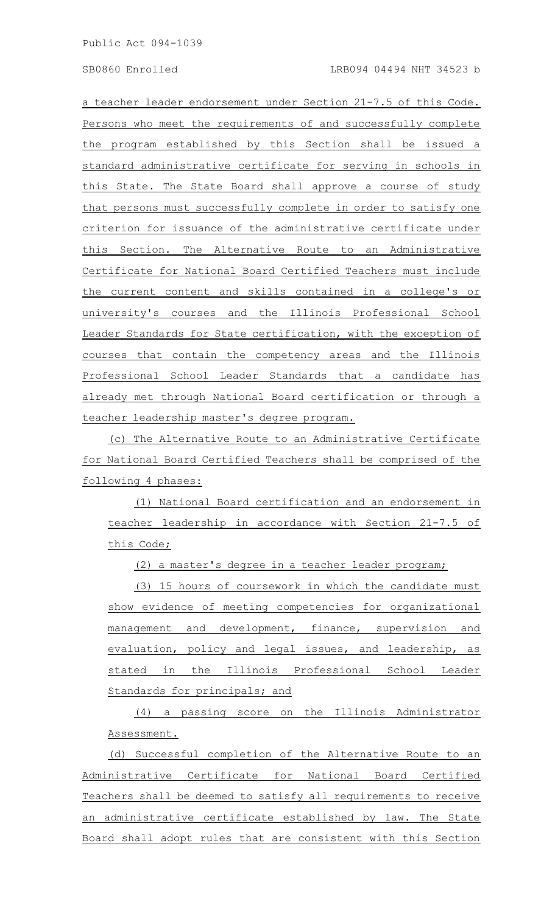a teacher leader endorsement under Section 21-7.5 of this Code. Persons who meet the requirements of and successfully complete the program established by this Section shall be issued a standard administrative certificate for serving in schools in this State. The State Board shall approve a course of study that persons must successfully complete in order to satisfy one criterion for issuance of the administrative certificate under this Section. The Alternative Route to an Administrative Certificate for National Board Certified Teachers must include the current content and skills contained in a college's or university's courses and the Illinois Professional School Leader Standards for State certification, with the exception of courses that contain the competency areas and the Illinois Professional School Leader Standards that a candidate has already met through National Board certification or through a teacher leadership master's degree program.

(c) The Alternative Route to an Administrative Certificate for National Board Certified Teachers shall be comprised of the following 4 phases:

(1) National Board certification and an endorsement in teacher leadership in accordance with Section 21-7.5 of this Code;

(2) a master's degree in a teacher leader program;

(3) 15 hours of coursework in which the candidate must show evidence of meeting competencies for organizational management and development, finance, supervision and evaluation, policy and legal issues, and leadership, as stated in the Illinois Professional School Leader Standards for principals; and

(4) a passing score on the Illinois Administrator Assessment.

(d) Successful completion of the Alternative Route to an Administrative Certificate for National Board Certified Teachers shall be deemed to satisfy all requirements to receive an administrative certificate established by law. The State Board shall adopt rules that are consistent with this Section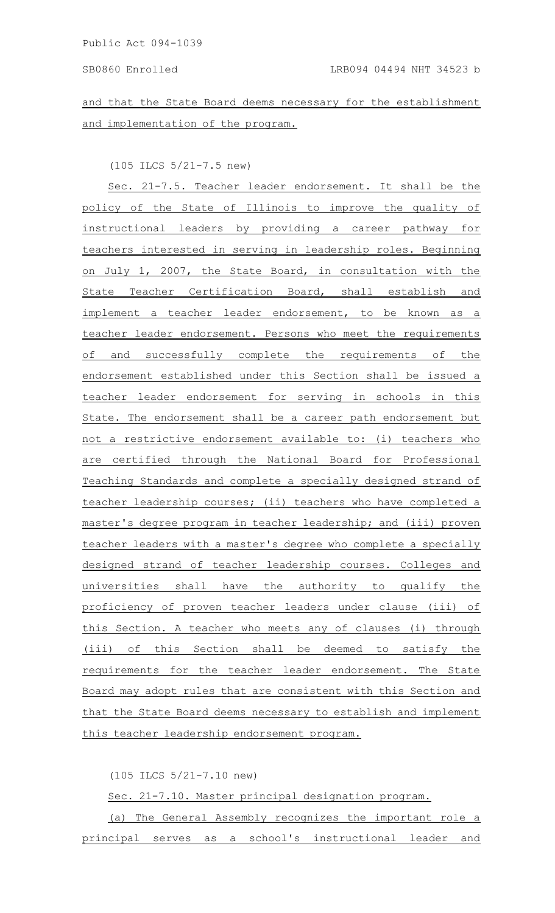and that the State Board deems necessary for the establishment and implementation of the program.

(105 ILCS 5/21-7.5 new)

Sec. 21-7.5. Teacher leader endorsement. It shall be the policy of the State of Illinois to improve the quality of instructional leaders by providing a career pathway for teachers interested in serving in leadership roles. Beginning on July 1, 2007, the State Board, in consultation with the State Teacher Certification Board, shall establish and implement a teacher leader endorsement, to be known as a teacher leader endorsement. Persons who meet the requirements of and successfully complete the requirements of the endorsement established under this Section shall be issued a teacher leader endorsement for serving in schools in this State. The endorsement shall be a career path endorsement but not a restrictive endorsement available to: (i) teachers who are certified through the National Board for Professional Teaching Standards and complete a specially designed strand of teacher leadership courses; (ii) teachers who have completed a master's degree program in teacher leadership; and (iii) proven teacher leaders with a master's degree who complete a specially designed strand of teacher leadership courses. Colleges and universities shall have the authority to qualify the proficiency of proven teacher leaders under clause (iii) of this Section. A teacher who meets any of clauses (i) through (iii) of this Section shall be deemed to satisfy the requirements for the teacher leader endorsement. The State Board may adopt rules that are consistent with this Section and that the State Board deems necessary to establish and implement this teacher leadership endorsement program.

(105 ILCS 5/21-7.10 new)

Sec. 21-7.10. Master principal designation program.

(a) The General Assembly recognizes the important role a principal serves as a school's instructional leader and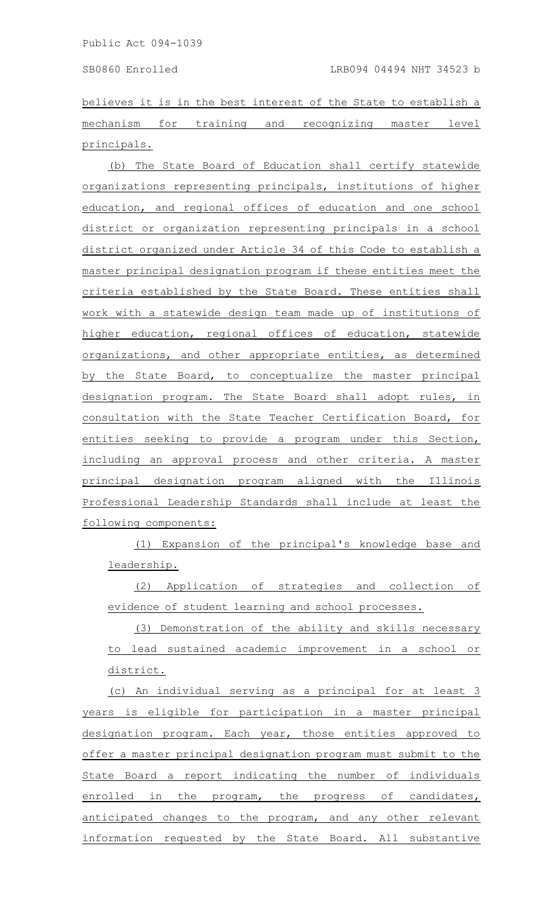believes it is in the best interest of the State to establish a mechanism for training and recognizing master level principals.

(b) The State Board of Education shall certify statewide organizations representing principals, institutions of higher education, and regional offices of education and one school district or organization representing principals in a school district organized under Article 34 of this Code to establish a master principal designation program if these entities meet the criteria established by the State Board. These entities shall work with a statewide design team made up of institutions of higher education, regional offices of education, statewide organizations, and other appropriate entities, as determined by the State Board, to conceptualize the master principal designation program. The State Board shall adopt rules, in consultation with the State Teacher Certification Board, for entities seeking to provide a program under this Section, including an approval process and other criteria. A master principal designation program aligned with the Illinois Professional Leadership Standards shall include at least the following components:

(1) Expansion of the principal's knowledge base and leadership.

(2) Application of strategies and collection of evidence of student learning and school processes.

(3) Demonstration of the ability and skills necessary to lead sustained academic improvement in a school or district.

(c) An individual serving as a principal for at least 3 years is eligible for participation in a master principal designation program. Each year, those entities approved to offer a master principal designation program must submit to the State Board a report indicating the number of individuals enrolled in the program, the progress of candidates, anticipated changes to the program, and any other relevant information requested by the State Board. All substantive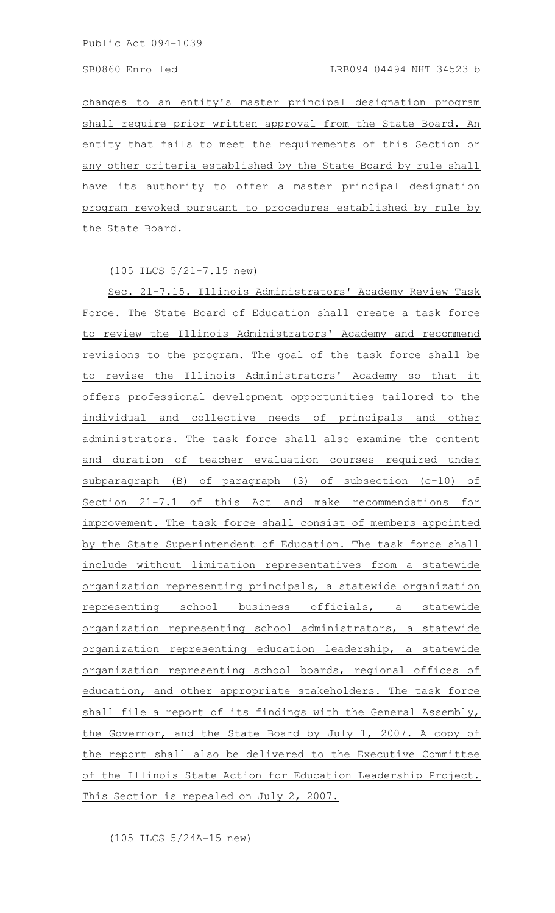changes to an entity's master principal designation program shall require prior written approval from the State Board. An entity that fails to meet the requirements of this Section or any other criteria established by the State Board by rule shall have its authority to offer a master principal designation program revoked pursuant to procedures established by rule by the State Board.

(105 ILCS 5/21-7.15 new)

Sec. 21-7.15. Illinois Administrators' Academy Review Task Force. The State Board of Education shall create a task force to review the Illinois Administrators' Academy and recommend revisions to the program. The goal of the task force shall be to revise the Illinois Administrators' Academy so that it offers professional development opportunities tailored to the individual and collective needs of principals and other administrators. The task force shall also examine the content and duration of teacher evaluation courses required under subparagraph (B) of paragraph (3) of subsection (c-10) of Section 21-7.1 of this Act and make recommendations for improvement. The task force shall consist of members appointed by the State Superintendent of Education. The task force shall include without limitation representatives from a statewide organization representing principals, a statewide organization representing school business officials, a statewide organization representing school administrators, a statewide organization representing education leadership, a statewide organization representing school boards, regional offices of education, and other appropriate stakeholders. The task force shall file a report of its findings with the General Assembly, the Governor, and the State Board by July 1, 2007. A copy of the report shall also be delivered to the Executive Committee of the Illinois State Action for Education Leadership Project. This Section is repealed on July 2, 2007.

(105 ILCS 5/24A-15 new)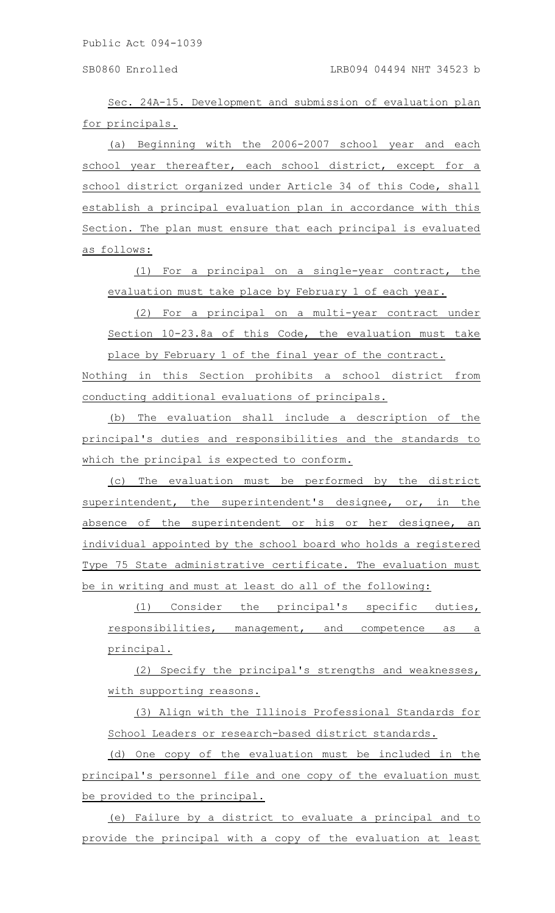Sec. 24A-15. Development and submission of evaluation plan for principals.

(a) Beginning with the 2006-2007 school year and each school year thereafter, each school district, except for a school district organized under Article 34 of this Code, shall establish a principal evaluation plan in accordance with this Section. The plan must ensure that each principal is evaluated as follows:

(1) For a principal on a single-year contract, the evaluation must take place by February 1 of each year.

(2) For a principal on a multi-year contract under Section 10-23.8a of this Code, the evaluation must take place by February 1 of the final year of the contract.

Nothing in this Section prohibits a school district from conducting additional evaluations of principals.

(b) The evaluation shall include a description of the principal's duties and responsibilities and the standards to which the principal is expected to conform.

(c) The evaluation must be performed by the district superintendent, the superintendent's designee, or, in the absence of the superintendent or his or her designee, an individual appointed by the school board who holds a registered Type 75 State administrative certificate. The evaluation must be in writing and must at least do all of the following:

(1) Consider the principal's specific duties, responsibilities, management, and competence as a principal.

(2) Specify the principal's strengths and weaknesses, with supporting reasons.

(3) Align with the Illinois Professional Standards for School Leaders or research-based district standards.

(d) One copy of the evaluation must be included in the principal's personnel file and one copy of the evaluation must be provided to the principal.

(e) Failure by a district to evaluate a principal and to provide the principal with a copy of the evaluation at least